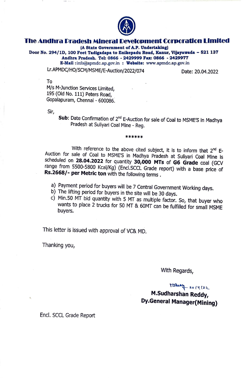

# **City**<br>The Andhra Pradesh Mineral Development Corporation Limited <sub>i</sub>n

**(A State Government of A.P. Undertaking)** 

**Door No. 294/1D, 100 Feet Tadigadapa to Enikepadu Road, Kanur, Vijayawada - 521137 Andhra Pradesh. Tel: 0866 • 2429999 Fu: 0866 · 242997~ E-Mail** :info@apmdc.ap.gov.in : www.apmdc.ap.gov.m

Lr.APMDC/HO/SCM/MSME/E-Auction/2022/074 Date: 20.04.2022

To

M/s M-Junction Services Limited, 195 (Old No. 111) Peters Road, Gopalapuram, Chennai - 600086:

Sir,

**Sub:** Date Confirmation of 2<sup>nd</sup> E-Auction for sale of Coal to MSME'S in Madhya Pradesh at Suliyari Coal Mine • Reg.

\*\*\*\*\*\*

With reference to the above cited subject, it is to inform that  $2^{nd}$  E-Auction for sale of Coal to MSME'S in Madhya Pradesh at Suliyari Coal Mine is scheduled on **28.04.2022** for quantity **30,000 MTs of G6 Grade** coal (GCV range from 5500-5800 Kcal/Kg) (Encl.SCCL Grade report) with a base price of **Rs.2668/- per Metric ton** with the following terms.

- a) Payment period for buyers will be 7 Central Government Working days.
- b) The lifting period for buyers in the site will be 30 days.
- c) Min.SO MT bid quantity with 5 MT as multiple factor. So, that buyer who wants to place 2 trucks for 50 MT & 60MT can be fulfilled for small MSME buyers,

This letter is issued with approval of VC& MD.

Thanking you,

With Regards,

 $Tis$   $2014(22)$ 

**M.Sudharshan Reddy, Dy.General Manager(Mining)** 

Encl. SCCL Grade Report